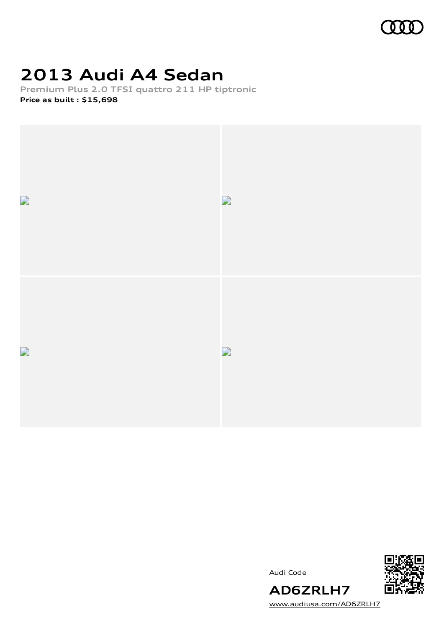

## **2013 Audi A4 Sedan**

**Premium Plus 2.0 TFSI quattro 211 HP tiptronic Price as built [:](#page-10-0) \$15,698**



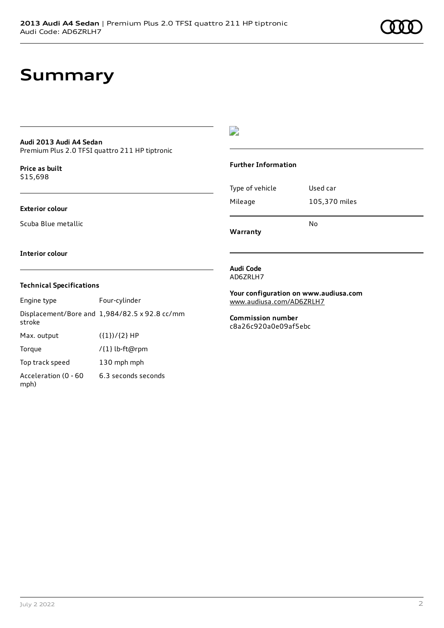## **Summary**

## **Audi 2013 Audi A4 Sedan**

Premium Plus 2.0 TFSI quattro 211 HP tiptronic

**Price as buil[t](#page-10-0)** \$15,698

#### **Exterior colour**

Scuba Blue metallic

 $\overline{\phantom{a}}$ 

#### **Further Information**

Type of vehicle Used car Mileage 105,370 miles No

**Warranty**

#### **Interior colour**

#### **Technical Specifications**

| Engine type                  | Four-cylinder                                 |
|------------------------------|-----------------------------------------------|
| stroke                       | Displacement/Bore and 1,984/82.5 x 92.8 cc/mm |
| Max. output                  | $({1})/{2}$ HP                                |
| Torque                       | /{1} lb-ft@rpm                                |
| Top track speed              | 130 mph mph                                   |
| Acceleration (0 - 60<br>mph) | 6.3 seconds seconds                           |

#### **Audi Code** AD6ZRLH7

**Your configuration on www.audiusa.com** [www.audiusa.com/AD6ZRLH7](https://www.audiusa.com/AD6ZRLH7)

**Commission number** c8a26c920a0e09af5ebc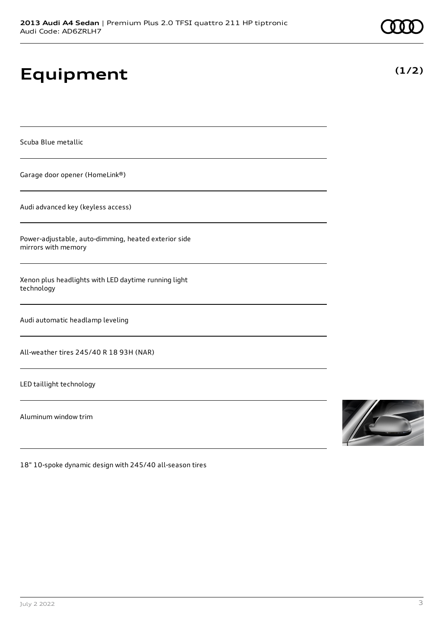# **Equipment**

Scuba Blue metallic

Garage door opener (HomeLink®)

Audi advanced key (keyless access)

Power-adjustable, auto-dimming, heated exterior side mirrors with memory

Xenon plus headlights with LED daytime running light technology

Audi automatic headlamp leveling

All-weather tires 245/40 R 18 93H (NAR)

LED taillight technology

Aluminum window trim



18" 10-spoke dynamic design with 245/40 all-season tires

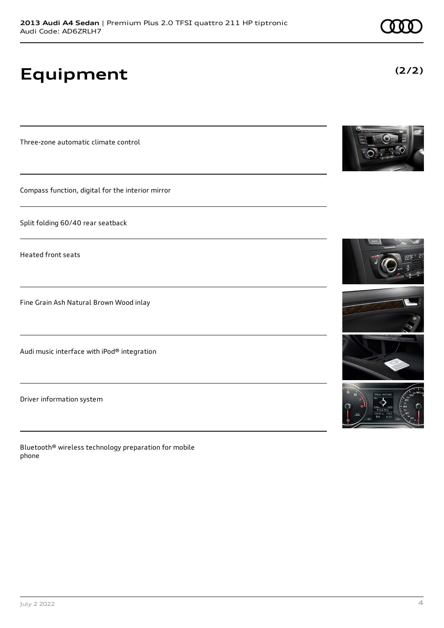# **Equipment**

Three-zone automatic climate control

Compass function, digital for the interior mirror

Split folding 60/40 rear seatback

Heated front seats

Fine Grain Ash Natural Brown Wood inlay

Audi music interface with iPod® integration

Driver information system

Bluetooth® wireless technology preparation for mobile phone









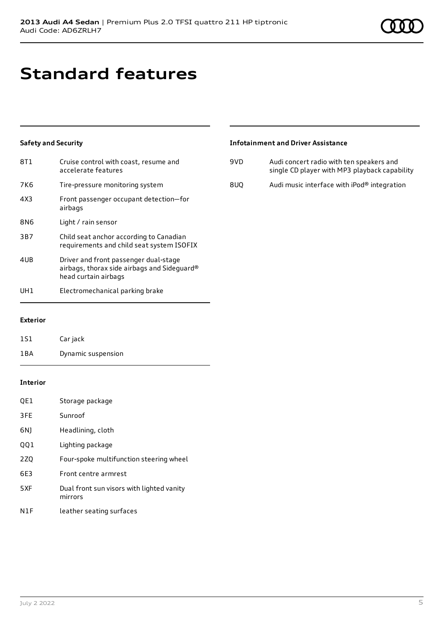# **Standard features**

## **Safety and Security**

| 8T1             | Cruise control with coast, resume and<br>accelerate features                                                 |
|-----------------|--------------------------------------------------------------------------------------------------------------|
| 7K6             | Tire-pressure monitoring system                                                                              |
| 4X3             | Front passenger occupant detection-for<br>airbags                                                            |
| 8N <sub>6</sub> | Light / rain sensor                                                                                          |
| 3B7             | Child seat anchor according to Canadian<br>requirements and child seat system ISOFIX                         |
| 4UB             | Driver and front passenger dual-stage<br>airbags, thorax side airbags and Sideguard®<br>head curtain airbags |
| UH 1            | Electromechanical parking brake                                                                              |

### **Infotainment and Driver Assistance**

| 9VD. | Audi concert radio with ten speakers and<br>single CD player with MP3 playback capability |
|------|-------------------------------------------------------------------------------------------|
| 8UO  | Audi music interface with iPod® integration                                               |

### **Exterior**

| 1S1 | Car jack           |
|-----|--------------------|
| 1BA | Dynamic suspension |

### **Interior**

| QE1 | Storage package                                      |
|-----|------------------------------------------------------|
| 3FE | Sunroof                                              |
| 6N) | Headlining, cloth                                    |
| QQ1 | Lighting package                                     |
| 2ZQ | Four-spoke multifunction steering wheel              |
| 6E3 | Front centre armrest                                 |
| 5XF | Dual front sun visors with lighted vanity<br>mirrors |
| N1F | leather seating surfaces                             |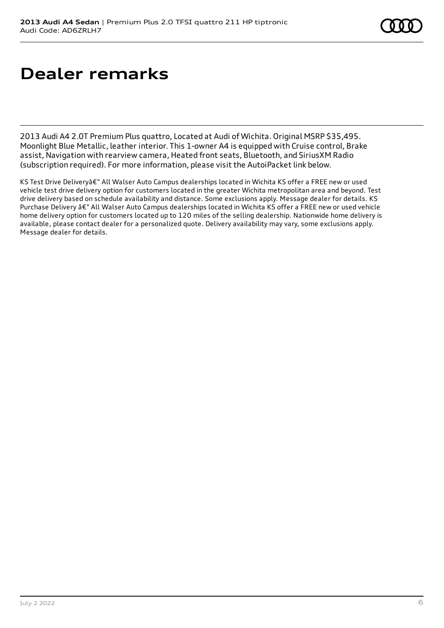# **Dealer remarks**

2013 Audi A4 2.0T Premium Plus quattro, Located at Audi of Wichita. Original MSRP \$35,495. Moonlight Blue Metallic, leather interior. This 1-owner A4 is equipped with Cruise control, Brake assist, Navigation with rearview camera, Heated front seats, Bluetooth, and SiriusXM Radio (subscription required). For more information, please visit the AutoiPacket link below.

KS Test Drive Deliveryâ€" All Walser Auto Campus dealerships located in Wichita KS offer a FREE new or used vehicle test drive delivery option for customers located in the greater Wichita metropolitan area and beyond. Test drive delivery based on schedule availability and distance. Some exclusions apply. Message dealer for details. KS Purchase Delivery â€" All Walser Auto Campus dealerships located in Wichita KS offer a FREE new or used vehicle home delivery option for customers located up to 120 miles of the selling dealership. Nationwide home delivery is available, please contact dealer for a personalized quote. Delivery availability may vary, some exclusions apply. Message dealer for details.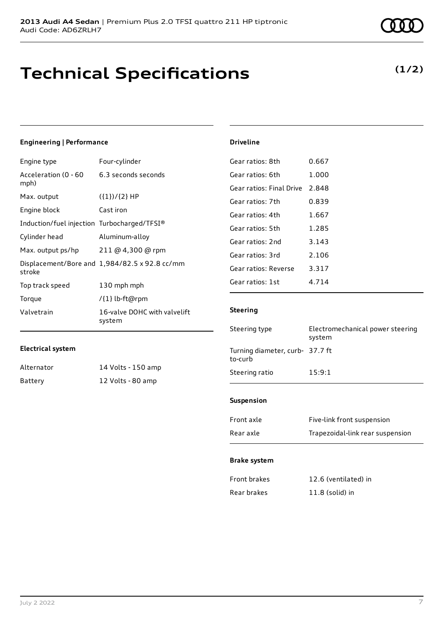## **Technical Specifications**

**(1/2)**

### **Engineering | Performance**

| Engine type                                 | Four-cylinder                                 |
|---------------------------------------------|-----------------------------------------------|
| Acceleration (0 - 60<br>mph)                | 6.3 seconds seconds                           |
| Max. output                                 | $({1})/{2}$ HP                                |
| Engine block                                | Cast iron                                     |
| Induction/fuel injection Turbocharged/TFSI® |                                               |
| Cylinder head                               | Aluminum-alloy                                |
| Max. output ps/hp                           | 211 @ 4,300 @ rpm                             |
| stroke                                      | Displacement/Bore and 1,984/82.5 x 92.8 cc/mm |
| Top track speed                             | 130 mph mph                                   |
| Torque                                      | /{1} lb-ft@rpm                                |
| Valvetrain                                  | 16-valve DOHC with valvelift<br>system        |

### **Electrical system**

| Alternator | 14 Volts - 150 amp |
|------------|--------------------|
| Battery    | 12 Volts - 80 amp  |

| Gear ratios: 8th         | 0.667   |
|--------------------------|---------|
| Gear ratios: 6th         | 1.000   |
| Gear ratios: Final Drive | 2.848   |
| Gear ratios: 7th         | 0.839   |
| Gear ratios: 4th         | 1.667   |
| Gear ratios: 5th         | 1.285   |
| Gear ratios: 2nd         | 3.143   |
| Gear ratios: 3rd         | 2.106   |
| Gear ratios: Reverse     | 3.317   |
| Gear ratios: 1st         | 4 7 1 4 |
|                          |         |

### **Steering**

**Driveline**

| Steering type                              | Electromechanical power steering<br>system |
|--------------------------------------------|--------------------------------------------|
| Turning diameter, curb- 37.7 ft<br>to-curb |                                            |
| Steering ratio                             | 15:9:1                                     |
|                                            |                                            |

### **Suspension**

| Front axle | Five-link front suspension       |
|------------|----------------------------------|
| Rear axle  | Trapezoidal-link rear suspension |

#### **Brake system**

| Front brakes | 12.6 (ventilated) in |
|--------------|----------------------|
| Rear brakes  | $11.8$ (solid) in    |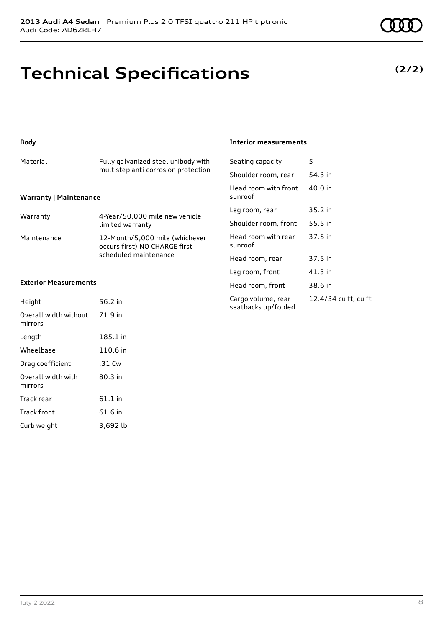## **Technical Specifications**

#### **Body**

## Material Fully galvanized steel unibody with multistep anti-corrosion protection

### **Warranty | Maintenance**

| Warranty    | 4-Year/50,000 mile new vehicle<br>limited warranty                                       |
|-------------|------------------------------------------------------------------------------------------|
| Maintenance | 12-Month/5,000 mile (whichever<br>occurs first) NO CHARGE first<br>scheduled maintenance |

#### **Exterior Measurements**

| Height                           | 56.2 in   |
|----------------------------------|-----------|
| Overall width without<br>mirrors | 71.9 in   |
| Length                           | 185.1 in  |
| Wheelbase                        | 110.6 in  |
| Drag coefficient                 | .31 Cw    |
| Overall width with<br>mirrors    | $80.3$ in |
| Track rear                       | $61.1$ in |
| <b>Track front</b>               | 61.6 in   |
| Curb weight                      | 3.692 lb  |

#### **Interior measurements**

| Seating capacity                          | 5                    |
|-------------------------------------------|----------------------|
| Shoulder room, rear                       | 54.3 in              |
| Head room with front<br>sunroof           | 40.0 in              |
| Leg room, rear                            | 35.2 in              |
| Shoulder room, front                      | 55.5 in              |
| Head room with rear<br>sunroof            | 37.5 in              |
| Head room, rear                           | 37.5 in              |
| Leg room, front                           | 41.3 in              |
| Head room, front                          | 38.6 in              |
| Cargo volume, rear<br>seatbacks up/folded | 12.4/34 cu ft, cu ft |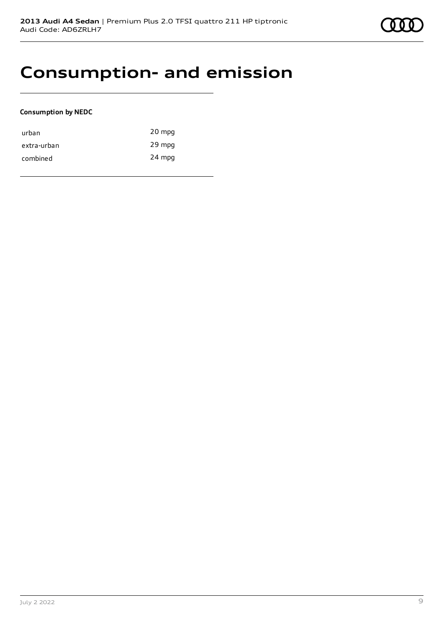## **Consumption- and emission**

#### **Consumption by NEDC**

| urban       | 20 mpg |
|-------------|--------|
| extra-urban | 29 mpg |
| combined    | 24 mpg |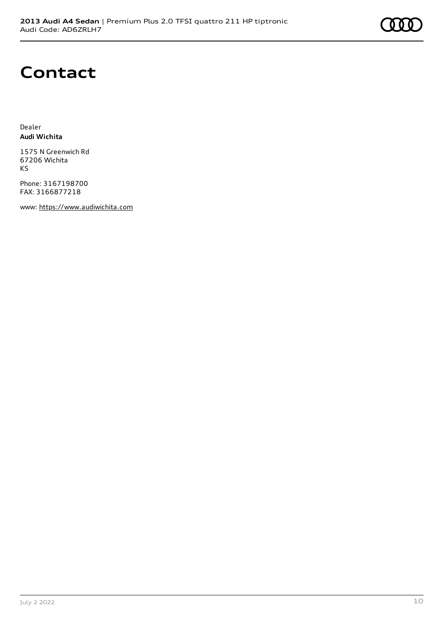

## **Contact**

Dealer **Audi Wichita**

1575 N Greenwich Rd 67206 Wichita KS

Phone: 3167198700 FAX: 3166877218

www: [https://www.audiwichita.com](https://www.audiwichita.com/)